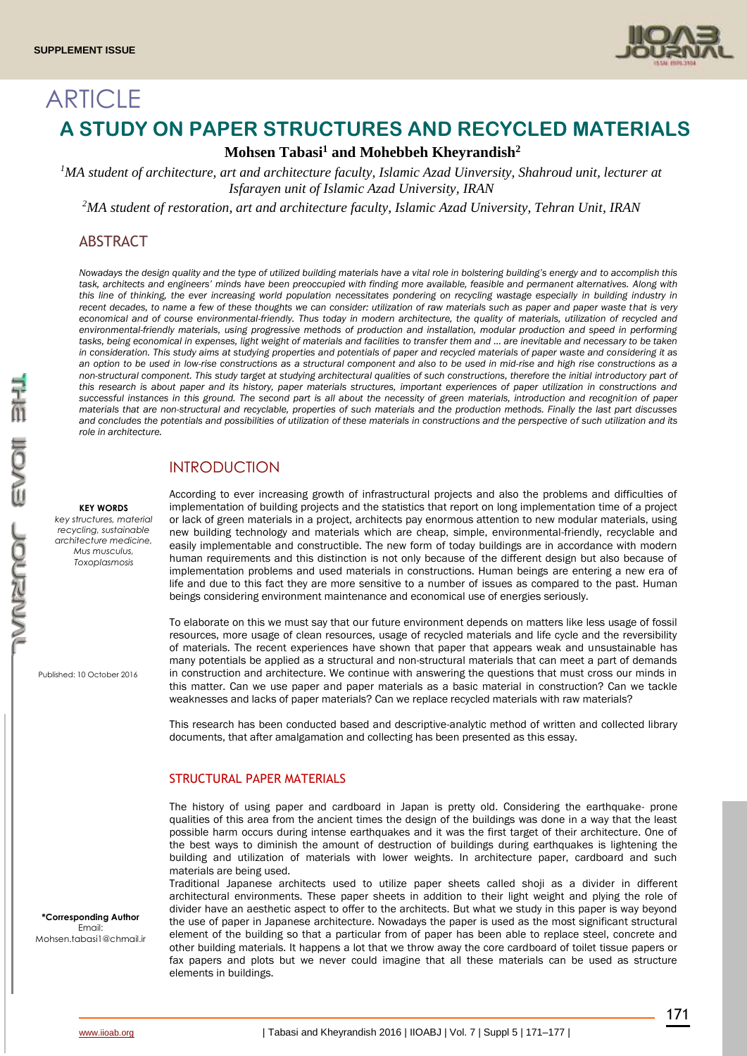

# ARTICLE **A STUDY ON PAPER STRUCTURES AND RECYCLED MATERIALS**

## **Mohsen Tabasi<sup>1</sup> and Mohebbeh Kheyrandish<sup>2</sup>**

*<sup>1</sup>MA student of architecture, art and architecture faculty, Islamic Azad Uinversity, Shahroud unit, lecturer at Isfarayen unit of Islamic Azad University, IRAN*

*<sup>2</sup>MA student of restoration, art and architecture faculty, Islamic Azad University, Tehran Unit, IRAN*

## ABSTRACT

*Nowadays the design quality and the type of utilized building materials have a vital role in bolstering building's energy and to accomplish this task, architects and engineers' minds have been preoccupied with finding more available, feasible and permanent alternatives. Along with this line of thinking, the ever increasing world population necessitates pondering on recycling wastage especially in building industry in recent decades, to name a few of these thoughts we can consider: utilization of raw materials such as paper and paper waste that is very economical and of course environmental-friendly. Thus today in modern architecture, the quality of materials, utilization of recycled and environmental-friendly materials, using progressive methods of production and installation, modular production and speed in performing tasks, being economical in expenses, light weight of materials and facilities to transfer them and … are inevitable and necessary to be taken in consideration. This study aims at studying properties and potentials of paper and recycled materials of paper waste and considering it as an option to be used in low-rise constructions as a structural component and also to be used in mid-rise and high rise constructions as a*  non-structural component. This study target at studying architectural qualities of such constructions, therefore the initial introductory part of *this research is about paper and its history, paper materials structures, important experiences of paper utilization in constructions and successful instances in this ground. The second part is all about the necessity of green materials, introduction and recognition of paper materials that are non-structural and recyclable, properties of such materials and the production methods. Finally the last part discusses and concludes the potentials and possibilities of utilization of these materials in constructions and the perspective of such utilization and its role in architecture.*

## INTRODUCTION

#### **KEY WORDS**

*key structures, material recycling, sustainable architecture medicine, Mus musculus, Toxoplasmosis*

Published: 10 October 2016

**\*Corresponding Author** Email: Mohsen.tabasi1@chmail.ir According to ever increasing growth of infrastructural projects and also the problems and difficulties of implementation of building projects and the statistics that report on long implementation time of a project or lack of green materials in a project, architects pay enormous attention to new modular materials, using new building technology and materials which are cheap, simple, environmental-friendly, recyclable and easily implementable and constructible. The new form of today buildings are in accordance with modern human requirements and this distinction is not only because of the different design but also because of implementation problems and used materials in constructions. Human beings are entering a new era of life and due to this fact they are more sensitive to a number of issues as compared to the past. Human beings considering environment maintenance and economical use of energies seriously.

To elaborate on this we must say that our future environment depends on matters like less usage of fossil resources, more usage of clean resources, usage of recycled materials and life cycle and the reversibility of materials. The recent experiences have shown that paper that appears weak and unsustainable has many potentials be applied as a structural and non-structural materials that can meet a part of demands in construction and architecture. We continue with answering the questions that must cross our minds in this matter. Can we use paper and paper materials as a basic material in construction? Can we tackle weaknesses and lacks of paper materials? Can we replace recycled materials with raw materials?

This research has been conducted based and descriptive-analytic method of written and collected library documents, that after amalgamation and collecting has been presented as this essay.

## STRUCTURAL PAPER MATERIALS

The history of using paper and cardboard in Japan is pretty old. Considering the earthquake- prone qualities of this area from the ancient times the design of the buildings was done in a way that the least possible harm occurs during intense earthquakes and it was the first target of their architecture. One of the best ways to diminish the amount of destruction of buildings during earthquakes is lightening the building and utilization of materials with lower weights. In architecture paper, cardboard and such materials are being used.

Traditional Japanese architects used to utilize paper sheets called shoji as a divider in different architectural environments. These paper sheets in addition to their light weight and plying the role of divider have an aesthetic aspect to offer to the architects. But what we study in this paper is way beyond the use of paper in Japanese architecture. Nowadays the paper is used as the most significant structural element of the building so that a particular from of paper has been able to replace steel, concrete and other building materials. It happens a lot that we throw away the core cardboard of toilet tissue papers or fax papers and plots but we never could imagine that all these materials can be used as structure elements in buildings.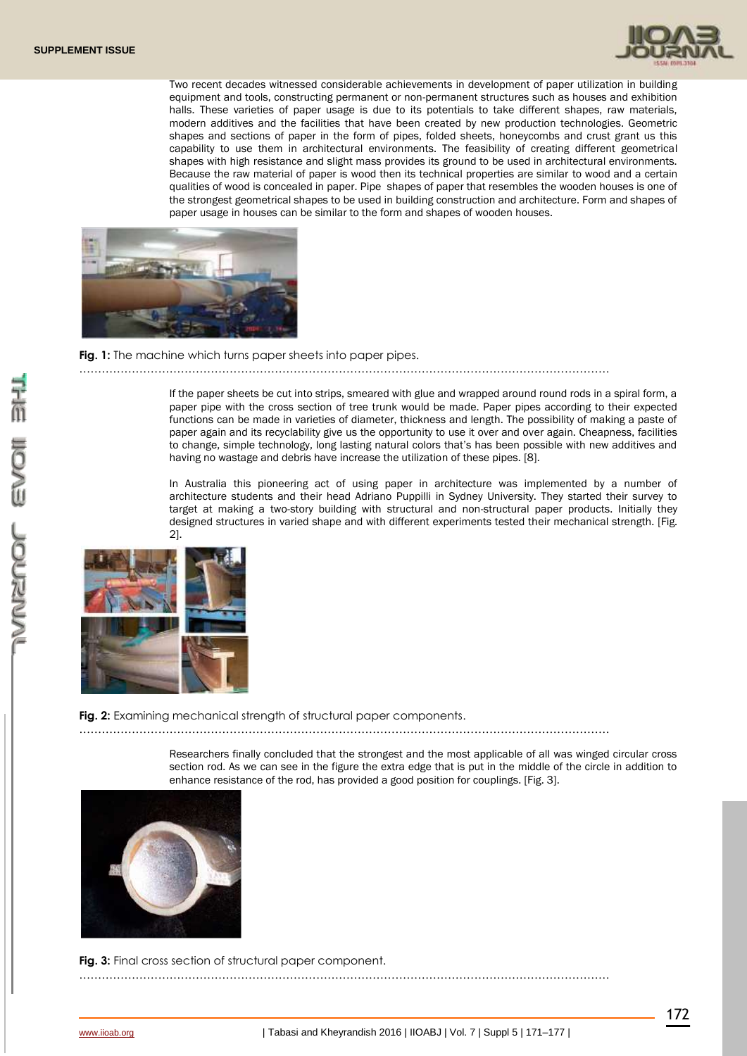

Two recent decades witnessed considerable achievements in development of paper utilization in building equipment and tools, constructing permanent or non-permanent structures such as houses and exhibition halls. These varieties of paper usage is due to its potentials to take different shapes, raw materials, modern additives and the facilities that have been created by new production technologies. Geometric shapes and sections of paper in the form of pipes, folded sheets, honeycombs and crust grant us this capability to use them in architectural environments. The feasibility of creating different geometrical shapes with high resistance and slight mass provides its ground to be used in architectural environments. Because the raw material of paper is wood then its technical properties are similar to wood and a certain qualities of wood is concealed in paper. Pipe shapes of paper that resembles the wooden houses is one of the strongest geometrical shapes to be used in building construction and architecture. Form and shapes of paper usage in houses can be similar to the form and shapes of wooden houses.



#### **Fig. 1:** The machine which turns paper sheets into paper pipes.

If the paper sheets be cut into strips, smeared with glue and wrapped around round rods in a spiral form, a paper pipe with the cross section of tree trunk would be made. Paper pipes according to their expected functions can be made in varieties of diameter, thickness and length. The possibility of making a paste of paper again and its recyclability give us the opportunity to use it over and over again. Cheapness, facilities to change, simple technology, long lasting natural colors that's has been possible with new additives and having no wastage and debris have increase the utilization of these pipes. [8].

……………………………………………………………………………………………………………………………

In Australia this pioneering act of using paper in architecture was implemented by a number of architecture students and their head Adriano Puppilli in Sydney University. They started their survey to target at making a two-story building with structural and non-structural paper products. Initially they designed structures in varied shape and with different experiments tested their mechanical strength. [Fig. 2].



**Fig. 2:** Examining mechanical strength of structural paper components.

……………………………………………………………………………………………………………………………

Researchers finally concluded that the strongest and the most applicable of all was winged circular cross section rod. As we can see in the figure the extra edge that is put in the middle of the circle in addition to enhance resistance of the rod, has provided a good position for couplings. [Fig. 3].



**Fig. 3:** Final cross section of structural paper component.

……………………………………………………………………………………………………………………………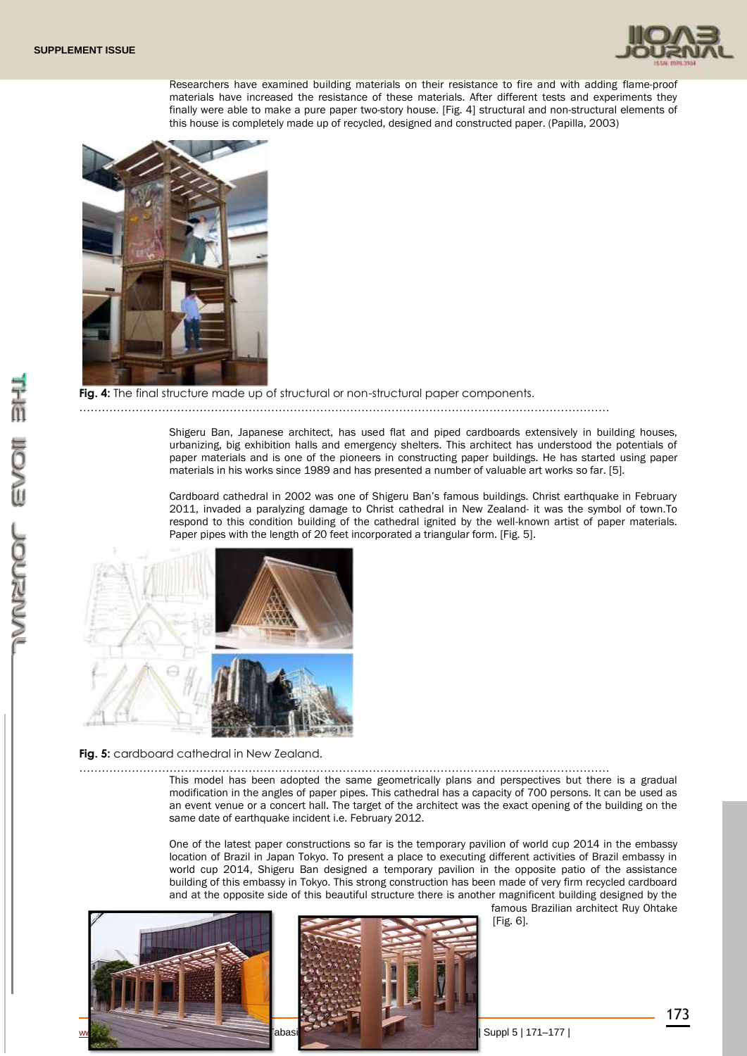

Researchers have examined building materials on their resistance to fire and with adding flame-proof materials have increased the resistance of these materials. After different tests and experiments they finally were able to make a pure paper two-story house. [Fig. 4] structural and non-structural elements of this house is completely made up of recycled, designed and constructed paper. (Papilla, 2003)



#### **Fig. 4:** The final structure made up of structural or non-structural paper components.

#### ……………………………………………………………………………………………………………………………

Shigeru Ban, Japanese architect, has used flat and piped cardboards extensively in building houses, urbanizing, big exhibition halls and emergency shelters. This architect has understood the potentials of paper materials and is one of the pioneers in constructing paper buildings. He has started using paper materials in his works since 1989 and has presented a number of valuable art works so far. [5].

Cardboard cathedral in 2002 was one of Shigeru Ban's famous buildings. Christ earthquake in February 2011, invaded a paralyzing damage to Christ cathedral in New Zealand- it was the symbol of town.To respond to this condition building of the cathedral ignited by the well-known artist of paper materials. Paper pipes with the length of 20 feet incorporated a triangular form. [Fig. 5].



**Fig. 5:** cardboard cathedral in New Zealand.

…………………………………………………………………………………………………………………………… This model has been adopted the same geometrically plans and perspectives but there is a gradual modification in the angles of paper pipes. This cathedral has a capacity of 700 persons. It can be used as an event venue or a concert hall. The target of the architect was the exact opening of the building on the same date of earthquake incident i.e. February 2012.

> One of the latest paper constructions so far is the temporary pavilion of world cup 2014 in the embassy location of Brazil in Japan Tokyo. To present a place to executing different activities of Brazil embassy in world cup 2014, Shigeru Ban designed a temporary pavilion in the opposite patio of the assistance building of this embassy in Tokyo. This strong construction has been made of very firm recycled cardboard and at the opposite side of this beautiful structure there is another magnificent building designed by the





famous Brazilian architect Ruy Ohtake [Fig. 6].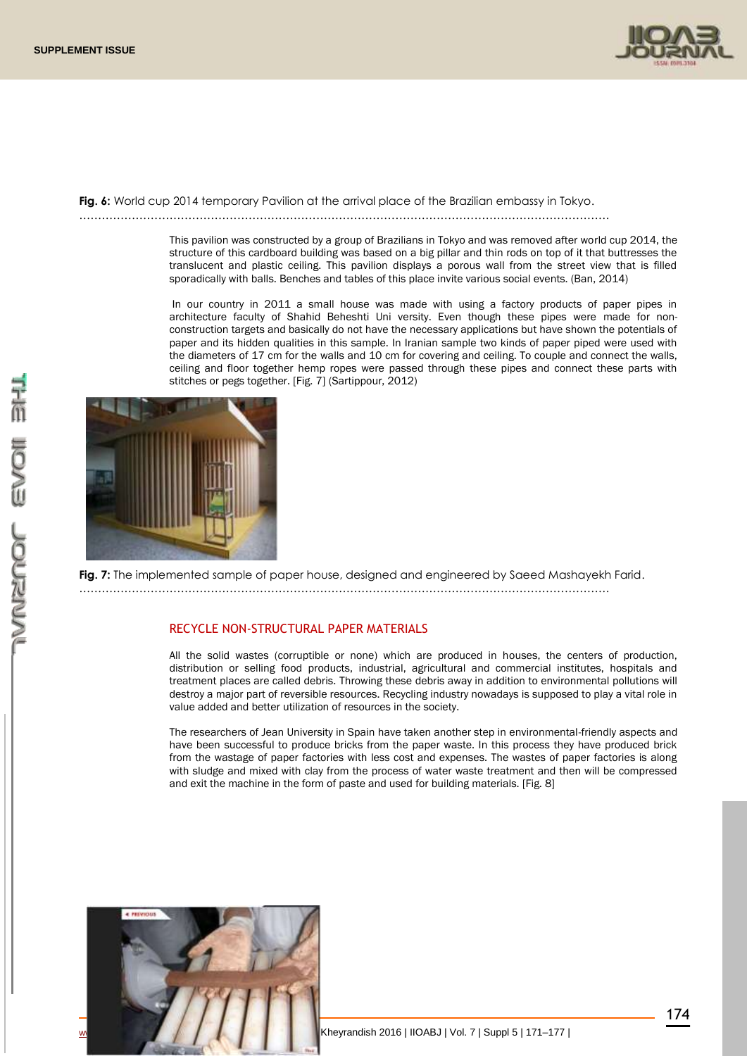

**Fig. 6:** World cup 2014 temporary Pavilion at the arrival place of the Brazilian embassy in Tokyo.

……………………………………………………………………………………………………………………………

This pavilion was constructed by a group of Brazilians in Tokyo and was removed after world cup 2014, the structure of this cardboard building was based on a big pillar and thin rods on top of it that buttresses the translucent and plastic ceiling. This pavilion displays a porous wall from the street view that is filled sporadically with balls. Benches and tables of this place invite various social events. (Ban, 2014)

In our country in 2011 a small house was made with using a factory products of paper pipes in architecture faculty of Shahid Beheshti Uni versity. Even though these pipes were made for nonconstruction targets and basically do not have the necessary applications but have shown the potentials of paper and its hidden qualities in this sample. In Iranian sample two kinds of paper piped were used with the diameters of 17 cm for the walls and 10 cm for covering and ceiling. To couple and connect the walls, ceiling and floor together hemp ropes were passed through these pipes and connect these parts with stitches or pegs together. [Fig. 7] (Sartippour, 2012)



**Fig. 7:** The implemented sample of paper house, designed and engineered by Saeed Mashayekh Farid. ……………………………………………………………………………………………………………………………

## RECYCLE NON-STRUCTURAL PAPER MATERIALS

All the solid wastes (corruptible or none) which are produced in houses, the centers of production, distribution or selling food products, industrial, agricultural and commercial institutes, hospitals and treatment places are called debris. Throwing these debris away in addition to environmental pollutions will destroy a major part of reversible resources. Recycling industry nowadays is supposed to play a vital role in value added and better utilization of resources in the society.

The researchers of Jean University in Spain have taken another step in environmental-friendly aspects and have been successful to produce bricks from the paper waste. In this process they have produced brick from the wastage of paper factories with less cost and expenses. The wastes of paper factories is along with sludge and mixed with clay from the process of water waste treatment and then will be compressed and exit the machine in the form of paste and used for building materials. [Fig. 8]

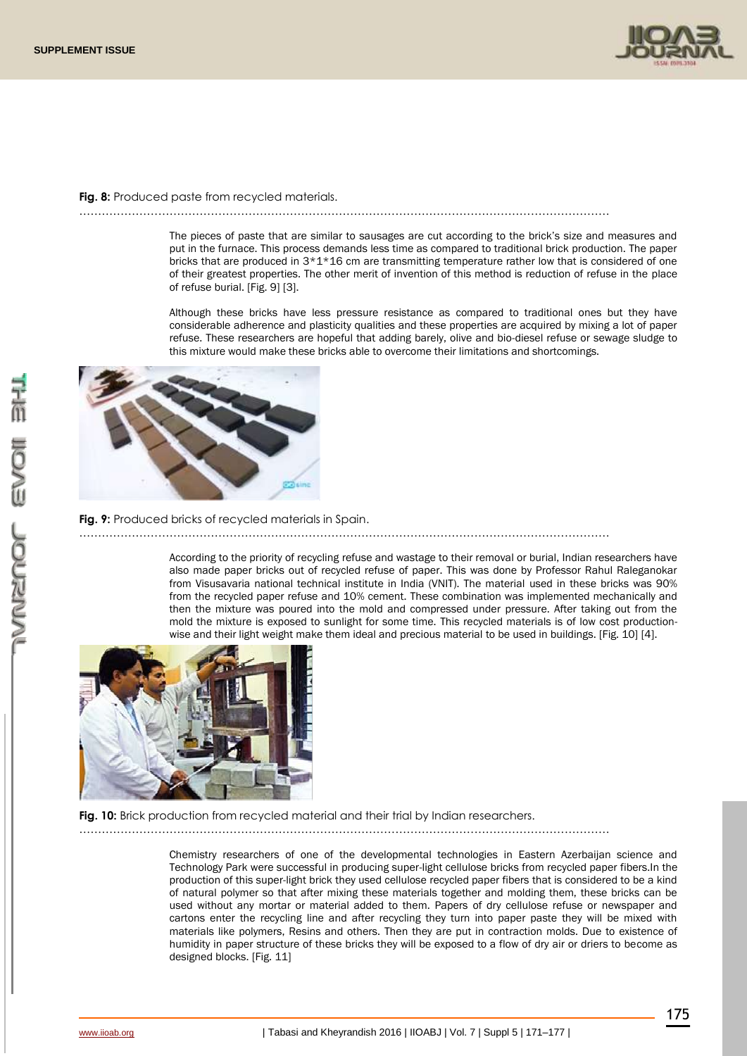

**Fig. 8:** Produced paste from recycled materials.

……………………………………………………………………………………………………………………………

The pieces of paste that are similar to sausages are cut according to the brick's size and measures and put in the furnace. This process demands less time as compared to traditional brick production. The paper bricks that are produced in  $3*1*16$  cm are transmitting temperature rather low that is considered of one of their greatest properties. The other merit of invention of this method is reduction of refuse in the place of refuse burial. [Fig. 9] [3].

Although these bricks have less pressure resistance as compared to traditional ones but they have considerable adherence and plasticity qualities and these properties are acquired by mixing a lot of paper refuse. These researchers are hopeful that adding barely, olive and bio-diesel refuse or sewage sludge to this mixture would make these bricks able to overcome their limitations and shortcomings.



**Fig. 9:** Produced bricks of recycled materials in Spain.

……………………………………………………………………………………………………………………………

According to the priority of recycling refuse and wastage to their removal or burial, Indian researchers have also made paper bricks out of recycled refuse of paper. This was done by Professor Rahul Raleganokar from Visusavaria national technical institute in India (VNIT). The material used in these bricks was 90% from the recycled paper refuse and 10% cement. These combination was implemented mechanically and then the mixture was poured into the mold and compressed under pressure. After taking out from the mold the mixture is exposed to sunlight for some time. This recycled materials is of low cost productionwise and their light weight make them ideal and precious material to be used in buildings. [Fig. 10] [4].



**Fig. 10:** Brick production from recycled material and their trial by Indian researchers.

……………………………………………………………………………………………………………………………

Chemistry researchers of one of the developmental technologies in Eastern Azerbaijan science and Technology Park were successful in producing super-light cellulose bricks from recycled paper fibers.In the production of this super-light brick they used cellulose recycled paper fibers that is considered to be a kind of natural polymer so that after mixing these materials together and molding them, these bricks can be used without any mortar or material added to them. Papers of dry cellulose refuse or newspaper and cartons enter the recycling line and after recycling they turn into paper paste they will be mixed with materials like polymers, Resins and others. Then they are put in contraction molds. Due to existence of humidity in paper structure of these bricks they will be exposed to a flow of dry air or driers to become as designed blocks. [Fig. 11]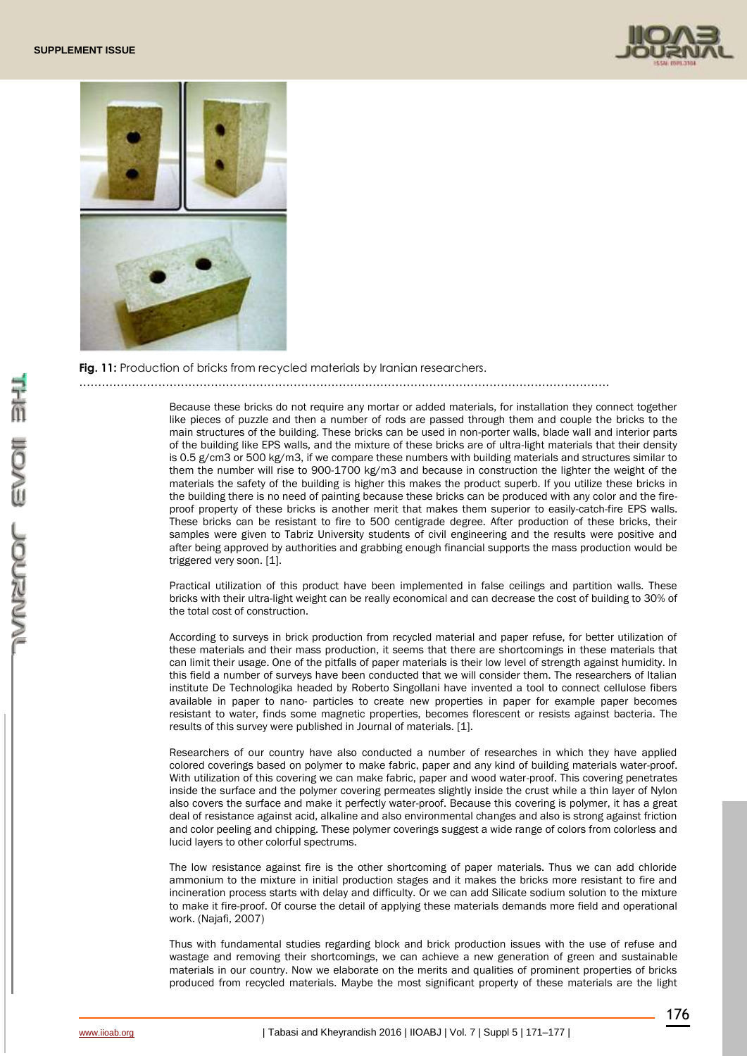



**Fig. 11:** Production of bricks from recycled materials by Iranian researchers.

……………………………………………………………………………………………………………………………

Because these bricks do not require any mortar or added materials, for installation they connect together like pieces of puzzle and then a number of rods are passed through them and couple the bricks to the main structures of the building. These bricks can be used in non-porter walls, blade wall and interior parts of the building like EPS walls, and the mixture of these bricks are of ultra-light materials that their density is 0.5 g/cm3 or 500 kg/m3, if we compare these numbers with building materials and structures similar to them the number will rise to 900-1700 kg/m3 and because in construction the lighter the weight of the materials the safety of the building is higher this makes the product superb. If you utilize these bricks in the building there is no need of painting because these bricks can be produced with any color and the fireproof property of these bricks is another merit that makes them superior to easily-catch-fire EPS walls. These bricks can be resistant to fire to 500 centigrade degree. After production of these bricks, their samples were given to Tabriz University students of civil engineering and the results were positive and after being approved by authorities and grabbing enough financial supports the mass production would be triggered very soon. [1].

Practical utilization of this product have been implemented in false ceilings and partition walls. These bricks with their ultra-light weight can be really economical and can decrease the cost of building to 30% of the total cost of construction.

According to surveys in brick production from recycled material and paper refuse, for better utilization of these materials and their mass production, it seems that there are shortcomings in these materials that can limit their usage. One of the pitfalls of paper materials is their low level of strength against humidity. In this field a number of surveys have been conducted that we will consider them. The researchers of Italian institute De Technologika headed by Roberto Singollani have invented a tool to connect cellulose fibers available in paper to nano- particles to create new properties in paper for example paper becomes resistant to water, finds some magnetic properties, becomes florescent or resists against bacteria. The results of this survey were published in Journal of materials. [1].

Researchers of our country have also conducted a number of researches in which they have applied colored coverings based on polymer to make fabric, paper and any kind of building materials water-proof. With utilization of this covering we can make fabric, paper and wood water-proof. This covering penetrates inside the surface and the polymer covering permeates slightly inside the crust while a thin layer of Nylon also covers the surface and make it perfectly water-proof. Because this covering is polymer, it has a great deal of resistance against acid, alkaline and also environmental changes and also is strong against friction and color peeling and chipping. These polymer coverings suggest a wide range of colors from colorless and lucid layers to other colorful spectrums.

The low resistance against fire is the other shortcoming of paper materials. Thus we can add chloride ammonium to the mixture in initial production stages and it makes the bricks more resistant to fire and incineration process starts with delay and difficulty. Or we can add Silicate sodium solution to the mixture to make it fire-proof. Of course the detail of applying these materials demands more field and operational work. (Najafi, 2007)

Thus with fundamental studies regarding block and brick production issues with the use of refuse and wastage and removing their shortcomings, we can achieve a new generation of green and sustainable materials in our country. Now we elaborate on the merits and qualities of prominent properties of bricks produced from recycled materials. Maybe the most significant property of these materials are the light